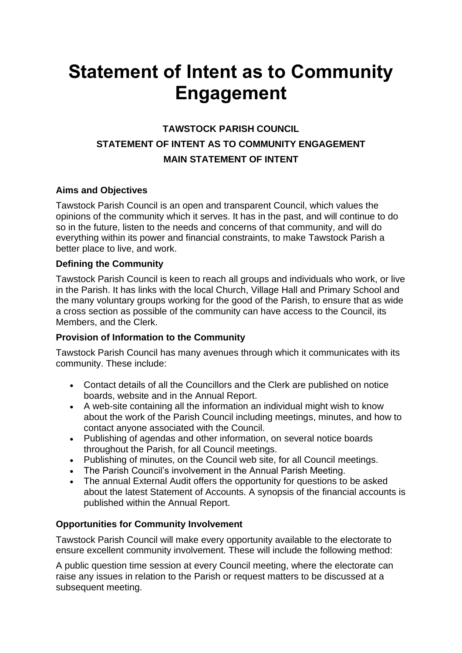# **Statement of Intent as to Community Engagement**

# **TAWSTOCK PARISH COUNCIL STATEMENT OF INTENT AS TO COMMUNITY ENGAGEMENT MAIN STATEMENT OF INTENT**

## **Aims and Objectives**

Tawstock Parish Council is an open and transparent Council, which values the opinions of the community which it serves. It has in the past, and will continue to do so in the future, listen to the needs and concerns of that community, and will do everything within its power and financial constraints, to make Tawstock Parish a better place to live, and work.

## **Defining the Community**

Tawstock Parish Council is keen to reach all groups and individuals who work, or live in the Parish. It has links with the local Church, Village Hall and Primary School and the many voluntary groups working for the good of the Parish, to ensure that as wide a cross section as possible of the community can have access to the Council, its Members, and the Clerk.

## **Provision of Information to the Community**

Tawstock Parish Council has many avenues through which it communicates with its community. These include:

- Contact details of all the Councillors and the Clerk are published on notice boards, website and in the Annual Report.
- A web-site containing all the information an individual might wish to know about the work of the Parish Council including meetings, minutes, and how to contact anyone associated with the Council.
- Publishing of agendas and other information, on several notice boards throughout the Parish, for all Council meetings.
- Publishing of minutes, on the Council web site, for all Council meetings.
- The Parish Council's involvement in the Annual Parish Meeting.
- The annual External Audit offers the opportunity for questions to be asked about the latest Statement of Accounts. A synopsis of the financial accounts is published within the Annual Report.

## **Opportunities for Community Involvement**

Tawstock Parish Council will make every opportunity available to the electorate to ensure excellent community involvement. These will include the following method:

A public question time session at every Council meeting, where the electorate can raise any issues in relation to the Parish or request matters to be discussed at a subsequent meeting.